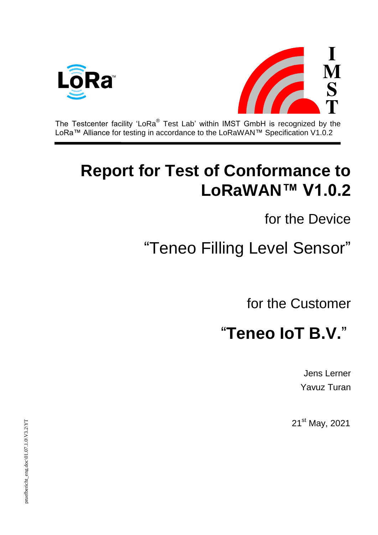



The Testcenter facility 'LoRa $^{\circledast}$  Test Lab' within IMST GmbH is recognized by the LoRa™ Alliance for testing in accordance to the LoRaWAN™ Specification V1.0.2

## **Report for Test of Conformance to LoRaWAN™ V1.0.2**

for the Device

# "Teneo Filling Level Sensor"

for the Customer

## "**Teneo IoT B.V.**"

Jens Lerner Yavuz Turan

21<sup>st</sup> May, 2021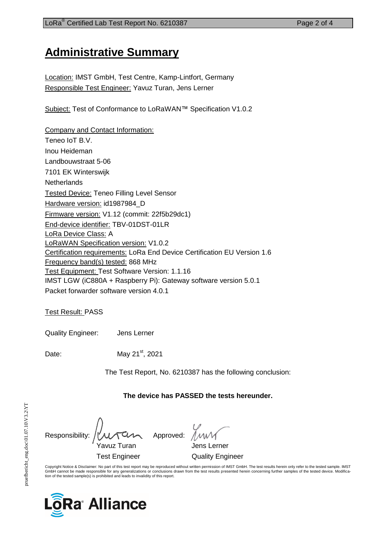## **Administrative Summary**

Location: IMST GmbH, Test Centre, Kamp-Lintfort, Germany Responsible Test Engineer: Yavuz Turan, Jens Lerner

Subject: Test of Conformance to LoRaWAN™ Specification V1.0.2

Company and Contact Information: Teneo IoT B.V. Inou Heideman Landbouwstraat 5-06 7101 EK Winterswijk **Netherlands** Tested Device: Teneo Filling Level Sensor Hardware version: id1987984\_D Firmware version: V1.12 (commit: 22f5b29dc1) End-device identifier: TBV-01DST-01LR LoRa Device Class: A LoRaWAN Specification version: V1.0.2 Certification requirements: LoRa End Device Certification EU Version 1.6 Frequency band(s) tested: 868 MHz Test Equipment: Test Software Version: 1.1.16 IMST LGW (iC880A + Raspberry Pi): Gateway software version 5.0.1 Packet forwarder software version 4.0.1

Test Result: PASS

Quality Engineer: Jens Lerner

Date: May 21<sup>st</sup>, 2021

The Test Report, No. 6210387 has the following conclusion:

**The device has PASSED the tests hereunder.**

Responsibility:  $\iiint_{\mathcal{U}} \mathcal{U} \setminus \mathcal{U}$  Approved: Yavuz Turan Jens Lerner Test Engineer Quality Engineer

Copyright Notice & Disclaimer: No part of this test report may be reproduced without written permission of IMST GmbH. The test results herein only refer to the tested sample. IMST<br>GmbH cannot be made responsible for any ge tion of the tested sample(s) is prohibited and leads to invalidity of this report.

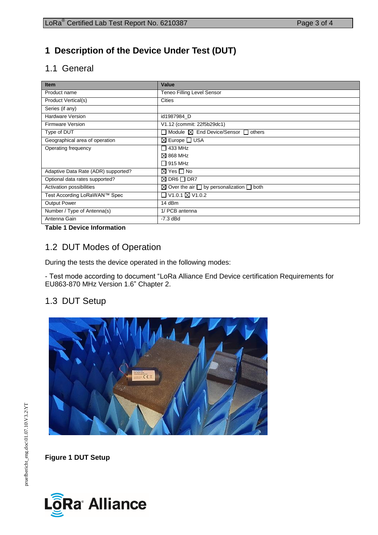## **1 Description of the Device Under Test (DUT)**

## 1.1 General

| <b>Item</b>                         | Value                                                          |
|-------------------------------------|----------------------------------------------------------------|
| Product name                        | <b>Teneo Filling Level Sensor</b>                              |
| Product Vertical(s)                 | <b>Cities</b>                                                  |
| Series (if any)                     |                                                                |
| <b>Hardware Version</b>             | id1987984 D                                                    |
| Firmware Version                    | V1.12 (commit: 22f5b29dc1)                                     |
| Type of DUT                         | Module <b>⊠</b> End Device/Sensor <b>□</b> others              |
| Geographical area of operation      | ⊠ Europe O USA                                                 |
| Operating frequency                 | 433 MHz                                                        |
|                                     | $\boxtimes$ 868 MHz                                            |
|                                     | $\Box$ 915 MHz                                                 |
| Adaptive Data Rate (ADR) supported? | $\boxtimes$ Yes $\Box$ No                                      |
| Optional data rates supported?      | $\boxtimes$ DR6 $\Box$ DR7                                     |
| Activation possibilities            | $\boxtimes$ Over the air $\Box$ by personalization $\Box$ both |
| Test According LoRaWAN™ Spec        | □ V1.0.1 ⊠ V1.0.2                                              |
| <b>Output Power</b>                 | 14 dBm                                                         |
| Number / Type of Antenna(s)         | 1/ PCB antenna                                                 |
| Antenna Gain                        | $-7.3$ dBd                                                     |

#### **Table 1 Device Information**

### 1.2 DUT Modes of Operation

During the tests the device operated in the following modes:

- Test mode according to document ["LoRa](javascript:__doPostBack() Alliance End Device certification Requirements for EU863-870 MHz Version 1.6" Chapter 2.

### 1.3 DUT Setup



**Figure 1 DUT Setup**